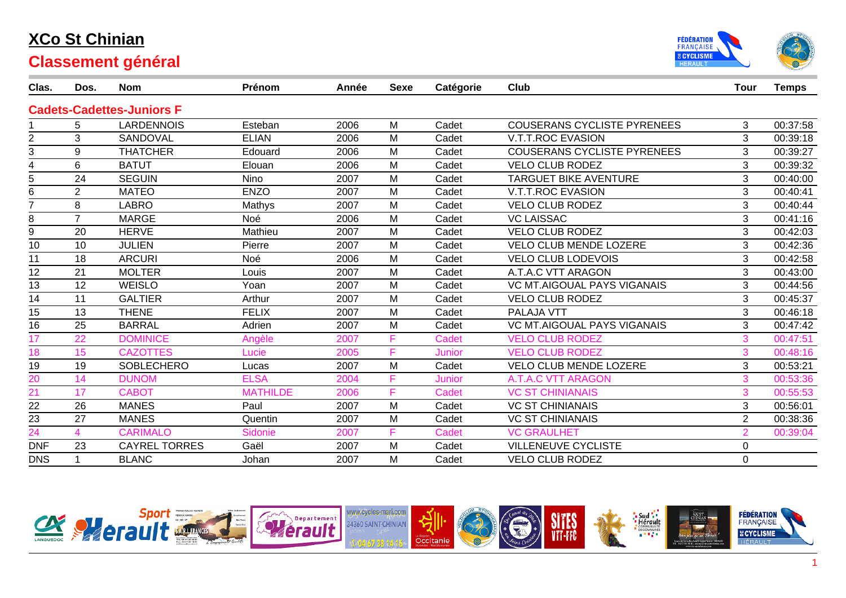

| Clas.          | Dos.           | <b>Nom</b>                       | Prénom          | Année | <b>Sexe</b> | Catégorie     | Club                               | <b>Tour</b>    | <b>Temps</b> |
|----------------|----------------|----------------------------------|-----------------|-------|-------------|---------------|------------------------------------|----------------|--------------|
|                |                | <b>Cadets-Cadettes-Juniors F</b> |                 |       |             |               |                                    |                |              |
|                | 5.             | <b>LARDENNOIS</b>                | Esteban         | 2006  | M           | Cadet         | <b>COUSERANS CYCLISTE PYRENEES</b> | 3              | 00:37:58     |
| $\overline{2}$ | 3              | SANDOVAL                         | <b>ELIAN</b>    | 2006  | M           | Cadet         | <b>V.T.T.ROC EVASION</b>           | 3              | 00:39:18     |
| 3              | 9              | <b>THATCHER</b>                  | Edouard         | 2006  | M           | Cadet         | <b>COUSERANS CYCLISTE PYRENEES</b> | 3              | 00:39:27     |
| 4              | 6              | <b>BATUT</b>                     | Elouan          | 2006  | M           | Cadet         | <b>VELO CLUB RODEZ</b>             | 3              | 00:39:32     |
| 5              | 24             | <b>SEGUIN</b>                    | Nino            | 2007  | M           | Cadet         | <b>TARGUET BIKE AVENTURE</b>       | 3              | 00:40:00     |
| 6              | $\overline{2}$ | <b>MATEO</b>                     | <b>ENZO</b>     | 2007  | M           | Cadet         | <b>V.T.T.ROC EVASION</b>           | 3              | 00:40:41     |
| $\overline{7}$ | 8              | <b>LABRO</b>                     | Mathys          | 2007  | M           | Cadet         | <b>VELO CLUB RODEZ</b>             | 3              | 00:40:44     |
| 8              | $\overline{7}$ | <b>MARGE</b>                     | Noé             | 2006  | M           | Cadet         | <b>VC LAISSAC</b>                  | 3              | 00:41:16     |
| 9              | 20             | <b>HERVE</b>                     | Mathieu         | 2007  | M           | Cadet         | <b>VELO CLUB RODEZ</b>             | 3              | 00:42:03     |
| 10             | 10             | <b>JULIEN</b>                    | Pierre          | 2007  | M           | Cadet         | <b>VELO CLUB MENDE LOZERE</b>      | 3              | 00:42:36     |
| 11             | 18             | <b>ARCURI</b>                    | Noé             | 2006  | M           | Cadet         | <b>VELO CLUB LODEVOIS</b>          | 3              | 00:42:58     |
| 12             | 21             | <b>MOLTER</b>                    | Louis           | 2007  | M           | Cadet         | A.T.A.C VTT ARAGON                 | 3              | 00:43:00     |
| 13             | 12             | <b>WEISLO</b>                    | Yoan            | 2007  | M           | Cadet         | <b>VC MT.AIGOUAL PAYS VIGANAIS</b> | 3              | 00:44:56     |
| 14             | 11             | <b>GALTIER</b>                   | Arthur          | 2007  | M           | Cadet         | <b>VELO CLUB RODEZ</b>             | 3              | 00:45:37     |
| 15             | 13             | <b>THENE</b>                     | <b>FELIX</b>    | 2007  | M           | Cadet         | <b>PALAJA VTT</b>                  | 3              | 00:46:18     |
| 16             | 25             | <b>BARRAL</b>                    | Adrien          | 2007  | M           | Cadet         | <b>VC MT.AIGOUAL PAYS VIGANAIS</b> | 3              | 00:47:42     |
| 17             | 22             | <b>DOMINICE</b>                  | Angèle          | 2007  | F           | <b>Cadet</b>  | <b>VELO CLUB RODEZ</b>             | 3              | 00:47:51     |
| 18             | 15             | <b>CAZOTTES</b>                  | Lucie           | 2005  | F           | <b>Junior</b> | <b>VELO CLUB RODEZ</b>             | 3              | 00:48:16     |
| 19             | 19             | <b>SOBLECHERO</b>                | Lucas           | 2007  | M           | Cadet         | <b>VELO CLUB MENDE LOZERE</b>      | 3              | 00:53:21     |
| 20             | 14             | <b>DUNOM</b>                     | <b>ELSA</b>     | 2004  | F           | <b>Junior</b> | <b>A.T.A.C VTT ARAGON</b>          | 3              | 00:53:36     |
| 21             | 17             | <b>CABOT</b>                     | <b>MATHILDE</b> | 2006  | F           | <b>Cadet</b>  | <b>VC ST CHINIANAIS</b>            | 3              | 00:55:53     |
| 22             | 26             | <b>MANES</b>                     | Paul            | 2007  | M           | Cadet         | <b>VC ST CHINIANAIS</b>            | 3              | 00:56:01     |
| 23             | 27             | <b>MANES</b>                     | Quentin         | 2007  | M           | Cadet         | <b>VC ST CHINIANAIS</b>            | $\overline{2}$ | 00:38:36     |
| 24             | 4              | <b>CARIMALO</b>                  | Sidonie         | 2007  | F           | <b>Cadet</b>  | <b>VC GRAULHET</b>                 | $\overline{2}$ | 00:39:04     |
| <b>DNF</b>     | 23             | <b>CAYREL TORRES</b>             | Gaël            | 2007  | M           | Cadet         | <b>VILLENEUVE CYCLISTE</b>         | 0              |              |
| <b>DNS</b>     |                | <b>BLANC</b>                     | Johan           | 2007  | M           | Cadet         | <b>VELO CLUB RODEZ</b>             | $\mathbf 0$    |              |

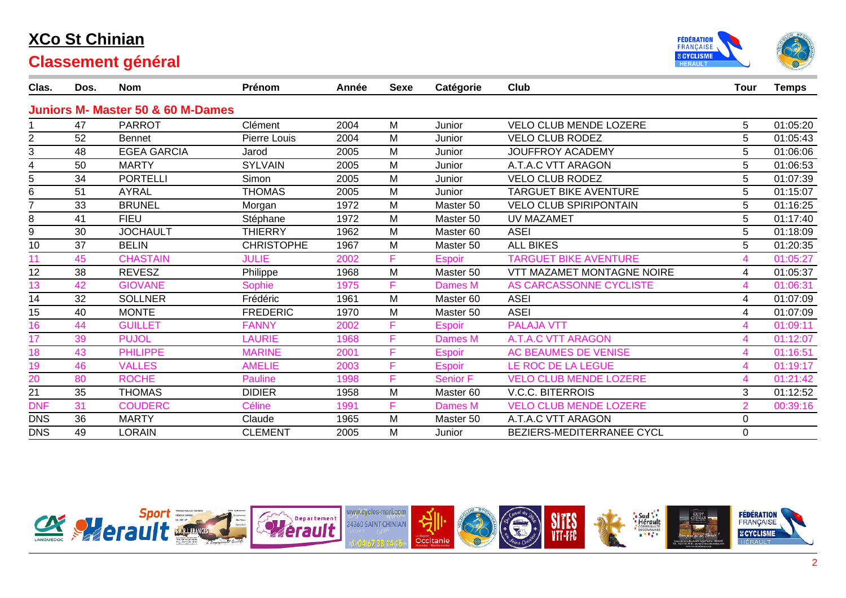



| Clas.          | Dos. | <b>Nom</b>                                   | Prénom            | Année | <b>Sexe</b> | Catégorie       | <b>Club</b>                   | <b>Tour</b>    | <b>Temps</b> |
|----------------|------|----------------------------------------------|-------------------|-------|-------------|-----------------|-------------------------------|----------------|--------------|
|                |      | <b>Juniors M- Master 50 &amp; 60 M-Dames</b> |                   |       |             |                 |                               |                |              |
|                | 47   | <b>PARROT</b>                                | Clément           | 2004  | M           | Junior          | <b>VELO CLUB MENDE LOZERE</b> | 5.             | 01:05:20     |
| $\overline{2}$ | 52   | Bennet                                       | Pierre Louis      | 2004  | M           | Junior          | <b>VELO CLUB RODEZ</b>        | 5.             | 01:05:43     |
| 3              | 48   | <b>EGEA GARCIA</b>                           | Jarod             | 2005  | M           | Junior          | <b>JOUFFROY ACADEMY</b>       | 5              | 01:06:06     |
| 4              | 50   | <b>MARTY</b>                                 | <b>SYLVAIN</b>    | 2005  | M           | Junior          | A.T.A.C VTT ARAGON            | 5              | 01:06:53     |
| 5              | 34   | <b>PORTELLI</b>                              | Simon             | 2005  | M           | Junior          | <b>VELO CLUB RODEZ</b>        | 5              | 01:07:39     |
| 6              | 51   | <b>AYRAL</b>                                 | <b>THOMAS</b>     | 2005  | M           | Junior          | <b>TARGUET BIKE AVENTURE</b>  | 5              | 01:15:07     |
|                | 33   | <b>BRUNEL</b>                                | Morgan            | 1972  | M           | Master 50       | <b>VELO CLUB SPIRIPONTAIN</b> | 5              | 01:16:25     |
| 8              | 41   | <b>FIEU</b>                                  | Stéphane          | 1972  | M           | Master 50       | <b>UV MAZAMET</b>             | 5              | 01:17:40     |
| 9              | 30   | <b>JOCHAULT</b>                              | <b>THIERRY</b>    | 1962  | M           | Master 60       | <b>ASEI</b>                   | 5              | 01:18:09     |
| 10             | 37   | <b>BELIN</b>                                 | <b>CHRISTOPHE</b> | 1967  | M           | Master 50       | <b>ALL BIKES</b>              | 5              | 01:20:35     |
| 11             | 45   | <b>CHASTAIN</b>                              | <b>JULIE</b>      | 2002  | F           | <b>Espoir</b>   | <b>TARGUET BIKE AVENTURE</b>  | 4              | 01:05:27     |
| 12             | 38   | <b>REVESZ</b>                                | Philippe          | 1968  | M           | Master 50       | VTT MAZAMET MONTAGNE NOIRE    | 4              | 01:05:37     |
| 13             | 42   | <b>GIOVANE</b>                               | Sophie            | 1975  | F           | <b>Dames M</b>  | AS CARCASSONNE CYCLISTE       | 4              | 01:06:31     |
| 14             | 32   | <b>SOLLNER</b>                               | Frédéric          | 1961  | M           | Master 60       | <b>ASEI</b>                   | 4              | 01:07:09     |
| 15             | 40   | <b>MONTE</b>                                 | <b>FREDERIC</b>   | 1970  | M           | Master 50       | <b>ASEI</b>                   | 4              | 01:07:09     |
| 16             | 44   | <b>GUILLET</b>                               | <b>FANNY</b>      | 2002  | F           | <b>Espoir</b>   | <b>PALAJA VTT</b>             | 4              | 01:09:11     |
| 17             | 39   | <b>PUJOL</b>                                 | <b>LAURIE</b>     | 1968  | F           | Dames M         | <b>A.T.A.C VTT ARAGON</b>     | 4              | 01:12:07     |
| 18             | 43   | <b>PHILIPPE</b>                              | <b>MARINE</b>     | 2001  | F           | <b>Espoir</b>   | <b>AC BEAUMES DE VENISE</b>   | 4              | 01:16:51     |
| 19             | 46   | <b>VALLES</b>                                | <b>AMELIE</b>     | 2003  | F           | <b>Espoir</b>   | LE ROC DE LA LEGUE            | 4              | 01:19:17     |
| 20             | 80   | <b>ROCHE</b>                                 | <b>Pauline</b>    | 1998  | F           | <b>Senior F</b> | <b>VELO CLUB MENDE LOZERE</b> | 4              | 01:21:42     |
| 21             | 35   | <b>THOMAS</b>                                | <b>DIDIER</b>     | 1958  | M           | Master 60       | <b>V.C.C. BITERROIS</b>       | 3              | 01:12:52     |
| <b>DNF</b>     | 31   | <b>COUDERC</b>                               | <b>Céline</b>     | 1991  | F           | <b>Dames M</b>  | <b>VELO CLUB MENDE LOZERE</b> | $\overline{2}$ | 00:39:16     |
| <b>DNS</b>     | 36   | <b>MARTY</b>                                 | Claude            | 1965  | M           | Master 50       | A.T.A.C VTT ARAGON            | 0              |              |
| <b>DNS</b>     | 49   | LORAIN                                       | <b>CLEMENT</b>    | 2005  | M           | Junior          | BEZIERS-MEDITERRANEE CYCL     | 0              |              |

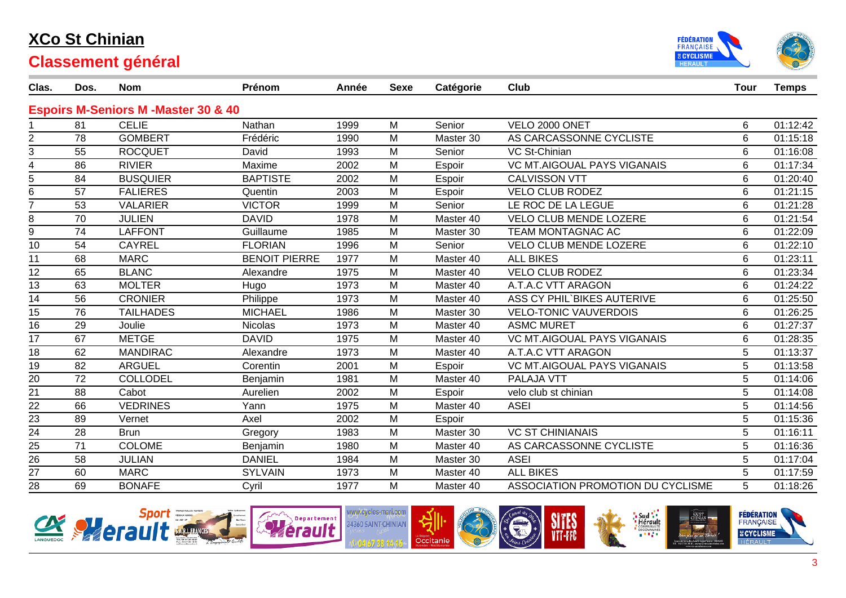



| Clas.           | Dos. | <b>Nom</b>                                    | Prénom               | Année | <b>Sexe</b> | Catégorie | Club                               | <b>Tour</b>    | <b>Temps</b> |
|-----------------|------|-----------------------------------------------|----------------------|-------|-------------|-----------|------------------------------------|----------------|--------------|
|                 |      | <b>Espoirs M-Seniors M-Master 30 &amp; 40</b> |                      |       |             |           |                                    |                |              |
|                 | 81   | <b>CELIE</b>                                  | Nathan               | 1999  | M           | Senior    | VELO 2000 ONET                     | 6              | 01:12:42     |
| 2               | 78   | <b>GOMBERT</b>                                | Frédéric             | 1990  | M           | Master 30 | AS CARCASSONNE CYCLISTE            | 6              | 01:15:18     |
| 3               | 55   | <b>ROCQUET</b>                                | David                | 1993  | M           | Senior    | <b>VC St-Chinian</b>               | 6              | 01:16:08     |
| 4               | 86   | <b>RIVIER</b>                                 | Maxime               | 2002  | M           | Espoir    | <b>VC MT.AIGOUAL PAYS VIGANAIS</b> | 6              | 01:17:34     |
| 5               | 84   | <b>BUSQUIER</b>                               | <b>BAPTISTE</b>      | 2002  | M           | Espoir    | <b>CALVISSON VTT</b>               | 6              | 01:20:40     |
| 6               | 57   | <b>FALIERES</b>                               | Quentin              | 2003  | M           | Espoir    | <b>VELO CLUB RODEZ</b>             | 6              | 01:21:15     |
| $\overline{7}$  | 53   | <b>VALARIER</b>                               | <b>VICTOR</b>        | 1999  | M           | Senior    | LE ROC DE LA LEGUE                 | 6              | 01:21:28     |
| 8               | 70   | <b>JULIEN</b>                                 | <b>DAVID</b>         | 1978  | M           | Master 40 | <b>VELO CLUB MENDE LOZERE</b>      | $6\phantom{1}$ | 01:21:54     |
| 9               | 74   | <b>LAFFONT</b>                                | Guillaume            | 1985  | M           | Master 30 | TEAM MONTAGNAC AC                  | 6              | 01:22:09     |
| 10              | 54   | <b>CAYREL</b>                                 | <b>FLORIAN</b>       | 1996  | M           | Senior    | <b>VELO CLUB MENDE LOZERE</b>      | 6              | 01:22:10     |
| 11              | 68   | <b>MARC</b>                                   | <b>BENOIT PIERRE</b> | 1977  | M           | Master 40 | <b>ALL BIKES</b>                   | 6              | 01:23:11     |
| 12              | 65   | <b>BLANC</b>                                  | Alexandre            | 1975  | M           | Master 40 | <b>VELO CLUB RODEZ</b>             | 6              | 01:23:34     |
| 13              | 63   | <b>MOLTER</b>                                 | Hugo                 | 1973  | M           | Master 40 | A.T.A.C VTT ARAGON                 | 6              | 01:24:22     |
| 14              | 56   | <b>CRONIER</b>                                | Philippe             | 1973  | M           | Master 40 | ASS CY PHIL'BIKES AUTERIVE         | 6              | 01:25:50     |
| $\overline{15}$ | 76   | <b>TAILHADES</b>                              | <b>MICHAEL</b>       | 1986  | M           | Master 30 | <b>VELO-TONIC VAUVERDOIS</b>       | $6\phantom{1}$ | 01:26:25     |
| 16              | 29   | Joulie                                        | <b>Nicolas</b>       | 1973  | M           | Master 40 | <b>ASMC MURET</b>                  | 6              | 01:27:37     |
| 17              | 67   | <b>METGE</b>                                  | <b>DAVID</b>         | 1975  | M           | Master 40 | <b>VC MT.AIGOUAL PAYS VIGANAIS</b> | 6              | 01:28:35     |
| $\overline{18}$ | 62   | <b>MANDIRAC</b>                               | Alexandre            | 1973  | M           | Master 40 | A.T.A.C VTT ARAGON                 | 5              | 01:13:37     |
| 19              | 82   | <b>ARGUEL</b>                                 | Corentin             | 2001  | M           | Espoir    | <b>VC MT.AIGOUAL PAYS VIGANAIS</b> | 5              | 01:13:58     |
| $\overline{20}$ | 72   | <b>COLLODEL</b>                               | Benjamin             | 1981  | M           | Master 40 | PALAJA VTT                         | 5              | 01:14:06     |
| 21              | 88   | Cabot                                         | Aurelien             | 2002  | M           | Espoir    | velo club st chinian               | 5              | 01:14:08     |
| $\overline{22}$ | 66   | <b>VEDRINES</b>                               | Yann                 | 1975  | M           | Master 40 | <b>ASEI</b>                        | 5              | 01:14:56     |
| 23              | 89   | Vernet                                        | Axel                 | 2002  | M           | Espoir    |                                    | 5              | 01:15:36     |
| $\overline{24}$ | 28   | <b>Brun</b>                                   | Gregory              | 1983  | M           | Master 30 | <b>VC ST CHINIANAIS</b>            | 5              | 01:16:11     |
| $\overline{25}$ | 71   | <b>COLOME</b>                                 | Benjamin             | 1980  | M           | Master 40 | AS CARCASSONNE CYCLISTE            | 5              | 01:16:36     |
| $\frac{1}{26}$  | 58   | <b>JULIAN</b>                                 | <b>DANIEL</b>        | 1984  | M           | Master 30 | <b>ASEI</b>                        | 5              | 01:17:04     |
| 27              | 60   | <b>MARC</b>                                   | <b>SYLVAIN</b>       | 1973  | M           | Master 40 | <b>ALL BIKES</b>                   | 5              | 01:17:59     |
| 28              | 69   | <b>BONAFE</b>                                 | Cyril                | 1977  | M           | Master 40 | ASSOCIATION PROMOTION DU CYCLISME  | 5              | 01:18:26     |

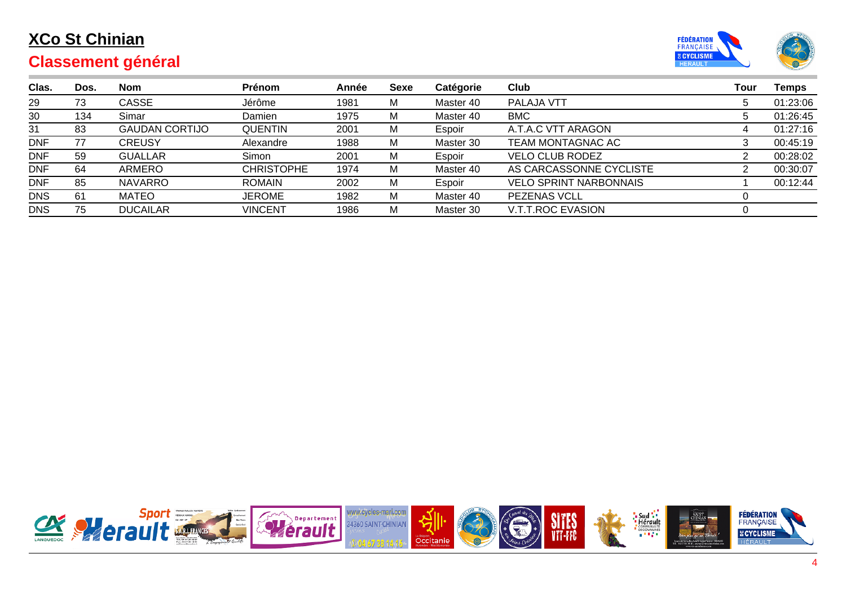

| Clas.      | Dos. | <b>Nom</b>            | Prénom            | Année | Sexe | Catégorie | Club                          | Tour        | Temps    |
|------------|------|-----------------------|-------------------|-------|------|-----------|-------------------------------|-------------|----------|
| 29         | 73   | CASSE                 | Jérôme            | 1981  | M    | Master 40 | PALAJA VTT                    | 5           | 01:23:06 |
| 30         | 134  | Simar                 | Damien            | 1975  | M    | Master 40 | <b>BMC</b>                    | $5^{\circ}$ | 01:26:45 |
| 31         | 83   | <b>GAUDAN CORTIJO</b> | <b>QUENTIN</b>    | 2001  | M    | Espoir    | A.T.A.C VTT ARAGON            |             | 01:27:16 |
| <b>DNF</b> | 77   | <b>CREUSY</b>         | Alexandre         | 1988  | M    | Master 30 | TEAM MONTAGNAC AC             |             | 00:45:19 |
| <b>DNF</b> | 59   | <b>GUALLAR</b>        | Simon             | 2001  | M    | Espoir    | <b>VELO CLUB RODEZ</b>        |             | 00:28:02 |
| <b>DNF</b> | 64   | ARMERO                | <b>CHRISTOPHE</b> | 1974  | M    | Master 40 | AS CARCASSONNE CYCLISTE       |             | 00:30:07 |
| <b>DNF</b> | 85   | <b>NAVARRO</b>        | <b>ROMAIN</b>     | 2002  | M    | Espoir    | <b>VELO SPRINT NARBONNAIS</b> |             | 00:12:44 |
| <b>DNS</b> | 61   | <b>MATEO</b>          | <b>JEROME</b>     | 1982  | M    | Master 40 | <b>PEZENAS VCLL</b>           |             |          |
| <b>DNS</b> | 75   | <b>DUCAILAR</b>       | <b>VINCENT</b>    | 1986  | M    | Master 30 | <b>V.T.T.ROC EVASION</b>      |             |          |

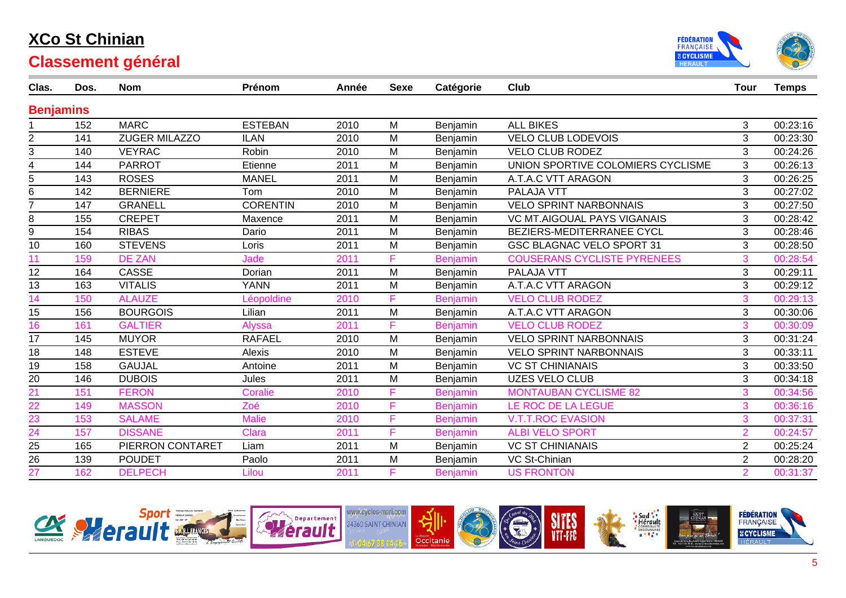



| Clas.            | Dos. | <b>Nom</b>           | Prénom          | Année | <b>Sexe</b> | Catégorie       | <b>Club</b>                        | <b>Tour</b>    | <b>Temps</b> |
|------------------|------|----------------------|-----------------|-------|-------------|-----------------|------------------------------------|----------------|--------------|
| <b>Benjamins</b> |      |                      |                 |       |             |                 |                                    |                |              |
|                  | 152  | <b>MARC</b>          | <b>ESTEBAN</b>  | 2010  | M           | Benjamin        | <b>ALL BIKES</b>                   | 3              | 00:23:16     |
| $\overline{2}$   | 141  | <b>ZUGER MILAZZO</b> | <b>ILAN</b>     | 2010  | M           | Benjamin        | <b>VELO CLUB LODEVOIS</b>          | 3              | 00:23:30     |
| 3                | 140  | <b>VEYRAC</b>        | <b>Robin</b>    | 2010  | M           | Benjamin        | <b>VELO CLUB RODEZ</b>             | 3              | 00:24:26     |
| 4                | 144  | <b>PARROT</b>        | Etienne         | 2011  | M           | Benjamin        | UNION SPORTIVE COLOMIERS CYCLISME  | 3              | 00:26:13     |
| 5                | 143  | <b>ROSES</b>         | <b>MANEL</b>    | 2011  | M           | Benjamin        | A.T.A.C VTT ARAGON                 | 3              | 00:26:25     |
| 6                | 142  | <b>BERNIERE</b>      | Tom             | 2010  | M           | Benjamin        | PALAJA VTT                         | 3              | 00:27:02     |
|                  | 147  | <b>GRANELL</b>       | <b>CORENTIN</b> | 2010  | M           | Benjamin        | <b>VELO SPRINT NARBONNAIS</b>      | 3              | 00:27:50     |
| 8                | 155  | <b>CREPET</b>        | Maxence         | 2011  | M           | Benjamin        | <b>VC MT.AIGOUAL PAYS VIGANAIS</b> | 3              | 00:28:42     |
| 9                | 154  | <b>RIBAS</b>         | Dario           | 2011  | M           | Benjamin        | BEZIERS-MEDITERRANEE CYCL          | 3              | 00:28:46     |
| 10               | 160  | <b>STEVENS</b>       | Loris           | 2011  | M           | Benjamin        | <b>GSC BLAGNAC VELO SPORT 31</b>   | 3              | 00:28:50     |
| 11               | 159  | <b>DE ZAN</b>        | Jade            | 2011  | F           | <b>Benjamin</b> | <b>COUSERANS CYCLISTE PYRENEES</b> | 3              | 00:28:54     |
| 12               | 164  | CASSE                | Dorian          | 2011  | M           | Benjamin        | PALAJA VTT                         | 3              | 00:29:11     |
| 13               | 163  | <b>VITALIS</b>       | <b>YANN</b>     | 2011  | M           | Benjamin        | A.T.A.C VTT ARAGON                 | 3              | 00:29:12     |
| 14               | 150  | <b>ALAUZE</b>        | _éopoldine      | 2010  | F           | <b>Benjamin</b> | <b>VELO CLUB RODEZ</b>             | 3              | 00:29:13     |
| 15               | 156  | <b>BOURGOIS</b>      | Lilian          | 2011  | M           | Benjamin        | A.T.A.C VTT ARAGON                 | 3              | 00:30:06     |
| 16               | 161  | <b>GALTIER</b>       | <b>Alyssa</b>   | 2011  | F           | <b>Benjamin</b> | <b>VELO CLUB RODEZ</b>             | 3              | 00:30:09     |
| 17               | 145  | <b>MUYOR</b>         | <b>RAFAEL</b>   | 2010  | M           | Benjamin        | <b>VELO SPRINT NARBONNAIS</b>      | 3              | 00:31:24     |
| 18               | 148  | <b>ESTEVE</b>        | <b>Alexis</b>   | 2010  | M           | Benjamin        | <b>VELO SPRINT NARBONNAIS</b>      | 3              | 00:33:11     |
| 19               | 158  | <b>GAUJAL</b>        | Antoine         | 2011  | M           | Benjamin        | <b>VC ST CHINIANAIS</b>            | 3              | 00:33:50     |
| 20               | 146  | <b>DUBOIS</b>        | Jules           | 2011  | M           | Benjamin        | <b>UZES VELO CLUB</b>              | 3              | 00:34:18     |
| 21               | 151  | <b>FERON</b>         | Coralie         | 2010  | F           | Benjamin        | <b>MONTAUBAN CYCLISME 82</b>       | 3              | 00:34:56     |
| 22               | 149  | <b>MASSON</b>        | Zoé             | 2010  | F           | <b>Benjamin</b> | LE ROC DE LA LEGUE                 | 3              | 00:36:16     |
| $\overline{23}$  | 153  | <b>SALAME</b>        | <b>Malie</b>    | 2010  | F           | <b>Benjamin</b> | <b>V.T.T.ROC EVASION</b>           | 3              | 00:37:31     |
| $\overline{24}$  | 157  | <b>DISSANE</b>       | <b>Clara</b>    | 2011  | F           | <b>Benjamin</b> | <b>ALBI VELO SPORT</b>             | $\overline{2}$ | 00:24:57     |
| 25               | 165  | PIERRON CONTARET     | Liam            | 2011  | M           | Benjamin        | <b>VC ST CHINIANAIS</b>            | $\overline{2}$ | 00:25:24     |
| $\overline{26}$  | 139  | <b>POUDET</b>        | Paolo           | 2011  | M           | Benjamin        | VC St-Chinian                      | $\overline{2}$ | 00:28:20     |
| 27               | 162  | <b>DELPECH</b>       | Lilou           | 2011  | F           | <b>Benjamin</b> | <b>US FRONTON</b>                  | $\overline{2}$ | 00:31:37     |

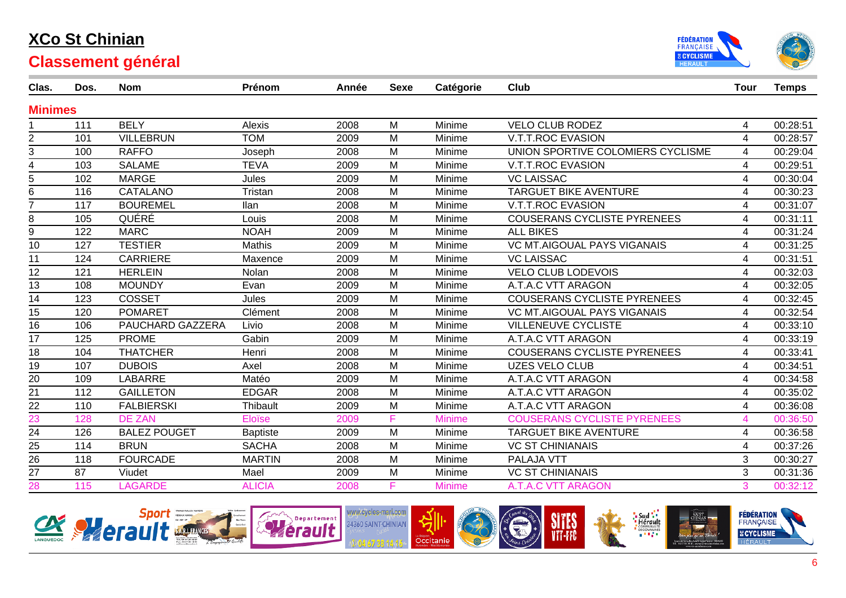



| Clas.           | Dos. | <b>Nom</b>          | Prénom          | Année | <b>Sexe</b> | Catégorie     | Club                               | <b>Tour</b>             | <b>Temps</b> |
|-----------------|------|---------------------|-----------------|-------|-------------|---------------|------------------------------------|-------------------------|--------------|
| <b>Minimes</b>  |      |                     |                 |       |             |               |                                    |                         |              |
|                 | 111  | <b>BELY</b>         | <b>Alexis</b>   | 2008  | M           | Minime        | <b>VELO CLUB RODEZ</b>             | 4                       | 00:28:51     |
| $\overline{2}$  | 101  | <b>VILLEBRUN</b>    | <b>TOM</b>      | 2009  | M           | Minime        | <b>V.T.T.ROC EVASION</b>           | 4                       | 00:28:57     |
| 3               | 100  | <b>RAFFO</b>        | Joseph          | 2008  | M           | Minime        | UNION SPORTIVE COLOMIERS CYCLISME  | 4                       | 00:29:04     |
| 4               | 103  | <b>SALAME</b>       | <b>TEVA</b>     | 2009  | M           | Minime        | <b>V.T.T.ROC EVASION</b>           | 4                       | 00:29:51     |
| 5               | 102  | <b>MARGE</b>        | Jules           | 2009  | M           | Minime        | <b>VC LAISSAC</b>                  | 4                       | 00:30:04     |
| 6               | 116  | <b>CATALANO</b>     | Tristan         | 2008  | M           | Minime        | <b>TARGUET BIKE AVENTURE</b>       | 4                       | 00:30:23     |
| $\overline{7}$  | 117  | <b>BOUREMEL</b>     | llan            | 2008  | M           | Minime        | <b>V.T.T.ROC EVASION</b>           | 4                       | 00:31:07     |
| 8               | 105  | QUÉRÉ               | Louis           | 2008  | M           | Minime        | <b>COUSERANS CYCLISTE PYRENEES</b> | 4                       | 00:31:11     |
| 9               | 122  | <b>MARC</b>         | <b>NOAH</b>     | 2009  | M           | Minime        | <b>ALL BIKES</b>                   | 4                       | 00:31:24     |
| 10              | 127  | <b>TESTIER</b>      | <b>Mathis</b>   | 2009  | M           | Minime        | <b>VC MT.AIGOUAL PAYS VIGANAIS</b> | 4                       | 00:31:25     |
| 11              | 124  | <b>CARRIERE</b>     | Maxence         | 2009  | M           | Minime        | <b>VC LAISSAC</b>                  | 4                       | 00:31:51     |
| 12              | 121  | <b>HERLEIN</b>      | Nolan           | 2008  | M           | Minime        | <b>VELO CLUB LODEVOIS</b>          | 4                       | 00:32:03     |
| 13              | 108  | <b>MOUNDY</b>       | Evan            | 2009  | M           | Minime        | A.T.A.C VTT ARAGON                 | 4                       | 00:32:05     |
| 14              | 123  | <b>COSSET</b>       | Jules           | 2009  | M           | Minime        | <b>COUSERANS CYCLISTE PYRENEES</b> | 4                       | 00:32:45     |
| 15              | 120  | <b>POMARET</b>      | Clément         | 2008  | M           | Minime        | <b>VC MT.AIGOUAL PAYS VIGANAIS</b> | 4                       | 00:32:54     |
| 16              | 106  | PAUCHARD GAZZERA    | Livio           | 2008  | M           | Minime        | <b>VILLENEUVE CYCLISTE</b>         | 4                       | 00:33:10     |
| 17              | 125  | <b>PROME</b>        | Gabin           | 2009  | M           | Minime        | A.T.A.C VTT ARAGON                 | 4                       | 00:33:19     |
| 18              | 104  | <b>THATCHER</b>     | Henri           | 2008  | M           | Minime        | <b>COUSERANS CYCLISTE PYRENEES</b> | 4                       | 00:33:41     |
| $\overline{19}$ | 107  | <b>DUBOIS</b>       | Axel            | 2008  | M           | Minime        | <b>UZES VELO CLUB</b>              | $\overline{\mathbf{4}}$ | 00:34:51     |
| 20              | 109  | <b>LABARRE</b>      | Matéo           | 2009  | M           | Minime        | A.T.A.C VTT ARAGON                 | 4                       | 00:34:58     |
| 21              | 112  | <b>GAILLETON</b>    | <b>EDGAR</b>    | 2008  | M           | Minime        | A.T.A.C VTT ARAGON                 | 4                       | 00:35:02     |
| $\overline{22}$ | 110  | <b>FALBIERSKI</b>   | Thibault        | 2009  | M           | Minime        | A.T.A.C VTT ARAGON                 | 4                       | 00:36:08     |
| $\overline{23}$ | 128  | <b>DE ZAN</b>       | <b>Eloïse</b>   | 2009  | F           | <b>Minime</b> | <b>COUSERANS CYCLISTE PYRENEES</b> | 4                       | 00:36:50     |
| $\overline{24}$ | 126  | <b>BALEZ POUGET</b> | <b>Baptiste</b> | 2009  | M           | Minime        | <b>TARGUET BIKE AVENTURE</b>       | 4                       | 00:36:58     |
| $\frac{25}{26}$ | 114  | <b>BRUN</b>         | <b>SACHA</b>    | 2008  | M           | Minime        | <b>VC ST CHINIANAIS</b>            | 4                       | 00:37:26     |
|                 | 118  | <b>FOURCADE</b>     | <b>MARTIN</b>   | 2008  | M           | Minime        | <b>PALAJA VTT</b>                  | 3                       | 00:30:27     |
| $\overline{27}$ | 87   | Viudet              | Mael            | 2009  | M           | Minime        | <b>VC ST CHINIANAIS</b>            | 3                       | 00:31:36     |
| 28              | 115  | <b>LAGARDE</b>      | <b>ALICIA</b>   | 2008  | F           | <b>Minime</b> | <b>A.T.A.C VTT ARAGON</b>          | 3                       | 00:32:12     |

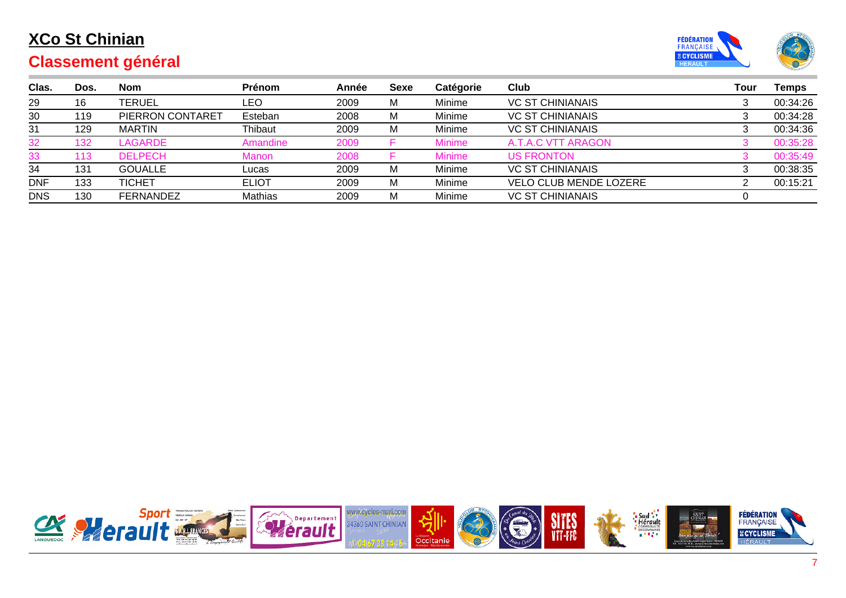

| Clas.      | Dos. | <b>Nom</b>       | <b>Prénom</b> | Année | Sexe | Catégorie     | Club                          | Tour | Temps    |
|------------|------|------------------|---------------|-------|------|---------------|-------------------------------|------|----------|
| 29         | 16   | TERUEL           | LEO           | 2009  | M    | Minime        | <b>VC ST CHINIANAIS</b>       |      | 00:34:26 |
| 30         | 119  | PIERRON CONTARET | Esteban       | 2008  | M    | Minime        | <b>VC ST CHINIANAIS</b>       |      | 00:34:28 |
| 31         | 129  | <b>MARTIN</b>    | Thibaut       | 2009  | M    | Minime        | <b>VC ST CHINIANAIS</b>       |      | 00:34:36 |
| 32         | 132  | LAGARDE          | Amandine      | 2009  |      | <b>Minime</b> | A.T.A.C VTT ARAGON            |      | 00:35:28 |
| 33         | 113  | <b>DELPECH</b>   | Manon         | 2008  |      | <b>Minime</b> | <b>US FRONTON</b>             |      | 00:35:49 |
| 34         | 131  | <b>GOUALLE</b>   | Lucas         | 2009  | M    | Minime        | <b>VC ST CHINIANAIS</b>       |      | 00:38:35 |
| <b>DNF</b> | 133  | <b>TICHET</b>    | <b>ELIOT</b>  | 2009  | M    | Minime        | <b>VELO CLUB MENDE LOZERE</b> |      | 00:15:21 |
| <b>DNS</b> | 130  | <b>FERNANDEZ</b> | Mathias       | 2009  | M    | Minime        | <b>VC ST CHINIANAIS</b>       |      |          |

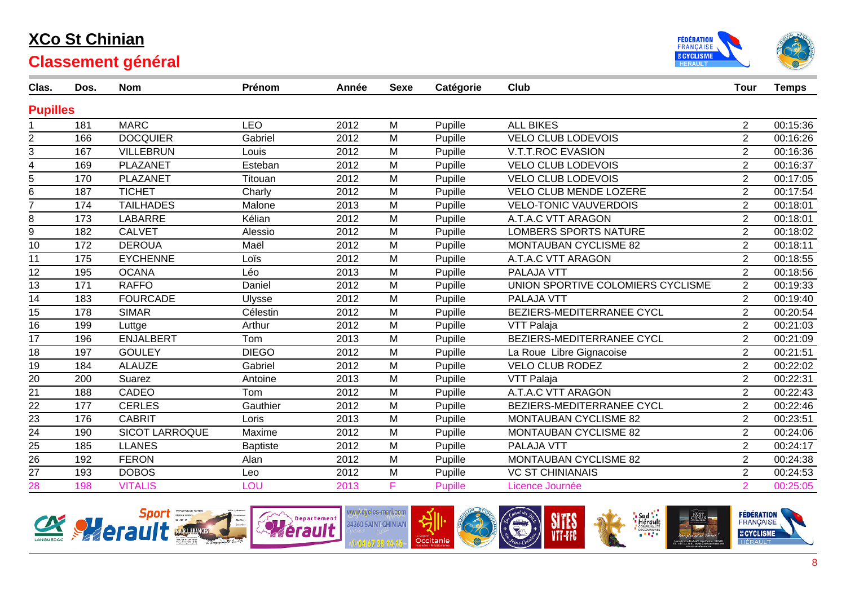



| Clas.           | Dos. | <b>Nom</b>            | Prénom          | Année | <b>Sexe</b> | Catégorie      | Club                              | <b>Tour</b>    | <b>Temps</b> |
|-----------------|------|-----------------------|-----------------|-------|-------------|----------------|-----------------------------------|----------------|--------------|
| <b>Pupilles</b> |      |                       |                 |       |             |                |                                   |                |              |
|                 | 181  | <b>MARC</b>           | <b>LEO</b>      | 2012  | M           | Pupille        | <b>ALL BIKES</b>                  | $\overline{2}$ | 00:15:36     |
| $\overline{2}$  | 166  | <b>DOCQUIER</b>       | Gabriel         | 2012  | M           | Pupille        | <b>VELO CLUB LODEVOIS</b>         | $\overline{2}$ | 00:16:26     |
| 3               | 167  | <b>VILLEBRUN</b>      | Louis           | 2012  | M           | Pupille        | V.T.T.ROC EVASION                 | $\overline{2}$ | 00:16:36     |
| 4               | 169  | PLAZANET              | Esteban         | 2012  | M           | Pupille        | <b>VELO CLUB LODEVOIS</b>         | $\overline{2}$ | 00:16:37     |
| 5               | 170  | PLAZANET              | Titouan         | 2012  | M           | Pupille        | <b>VELO CLUB LODEVOIS</b>         | $\overline{2}$ | 00:17:05     |
| 6               | 187  | <b>TICHET</b>         | Charly          | 2012  | M           | Pupille        | <b>VELO CLUB MENDE LOZERE</b>     | $\overline{2}$ | 00:17:54     |
| $\overline{7}$  | 174  | <b>TAILHADES</b>      | Malone          | 2013  | M           | Pupille        | <b>VELO-TONIC VAUVERDOIS</b>      | $\overline{2}$ | 00:18:01     |
| 8               | 173  | <b>LABARRE</b>        | Kélian          | 2012  | M           | Pupille        | A.T.A.C VTT ARAGON                | $\overline{2}$ | 00:18:01     |
| 9               | 182  | <b>CALVET</b>         | Alessio         | 2012  | M           | Pupille        | <b>LOMBERS SPORTS NATURE</b>      | $\overline{2}$ | 00:18:02     |
| 10              | 172  | <b>DEROUA</b>         | Maël            | 2012  | M           | Pupille        | <b>MONTAUBAN CYCLISME 82</b>      | $\overline{2}$ | 00:18:11     |
| 11              | 175  | <b>EYCHENNE</b>       | Loïs            | 2012  | M           | Pupille        | A.T.A.C VTT ARAGON                | $\overline{2}$ | 00:18:55     |
| 12              | 195  | <b>OCANA</b>          | Léo             | 2013  | M           | Pupille        | <b>PALAJA VTT</b>                 | $\overline{2}$ | 00:18:56     |
| 13              | 171  | <b>RAFFO</b>          | Daniel          | 2012  | M           | Pupille        | UNION SPORTIVE COLOMIERS CYCLISME | 2              | 00:19:33     |
| 14              | 183  | <b>FOURCADE</b>       | <b>Ulysse</b>   | 2012  | M           | Pupille        | PALAJA VTT                        | $\overline{2}$ | 00:19:40     |
| 15              | 178  | <b>SIMAR</b>          | Célestin        | 2012  | M           | Pupille        | BEZIERS-MEDITERRANEE CYCL         | $\overline{2}$ | 00:20:54     |
| 16              | 199  | Luttge                | Arthur          | 2012  | M           | Pupille        | VTT Palaja                        | $\overline{2}$ | 00:21:03     |
| 17              | 196  | <b>ENJALBERT</b>      | Tom             | 2013  | M           | Pupille        | BEZIERS-MEDITERRANEE CYCL         | $\overline{2}$ | 00:21:09     |
| 18              | 197  | <b>GOULEY</b>         | <b>DIEGO</b>    | 2012  | M           | Pupille        | La Roue Libre Gignacoise          | $\overline{2}$ | 00:21:51     |
| 19              | 184  | <b>ALAUZE</b>         | Gabriel         | 2012  | M           | Pupille        | <b>VELO CLUB RODEZ</b>            | $\overline{2}$ | 00:22:02     |
| $\overline{20}$ | 200  | Suarez                | Antoine         | 2013  | M           | Pupille        | VTT Palaja                        | $\overline{2}$ | 00:22:31     |
| 21              | 188  | CADEO                 | Tom             | 2012  | M           | Pupille        | A.T.A.C VTT ARAGON                | $\overline{2}$ | 00:22:43     |
| $\overline{22}$ | 177  | <b>CERLES</b>         | Gauthier        | 2012  | M           | Pupille        | BEZIERS-MEDITERRANEE CYCL         | $\overline{2}$ | 00:22:46     |
| 23              | 176  | <b>CABRIT</b>         | Loris           | 2013  | M           | Pupille        | <b>MONTAUBAN CYCLISME 82</b>      | $\overline{2}$ | 00:23:51     |
| $\overline{24}$ | 190  | <b>SICOT LARROQUE</b> | Maxime          | 2012  | M           | Pupille        | MONTAUBAN CYCLISME 82             | $\overline{2}$ | 00:24:06     |
| $\frac{25}{26}$ | 185  | <b>LLANES</b>         | <b>Baptiste</b> | 2012  | M           | Pupille        | PALAJA VTT                        | $\overline{2}$ | 00:24:17     |
|                 | 192  | <b>FERON</b>          | Alan            | 2012  | M           | Pupille        | <b>MONTAUBAN CYCLISME 82</b>      | $\overline{2}$ | 00:24:38     |
| 27              | 193  | <b>DOBOS</b>          | Leo             | 2012  | M           | Pupille        | <b>VC ST CHINIANAIS</b>           | $\overline{2}$ | 00:24:53     |
| $\overline{28}$ | 198  | <b>VITALIS</b>        | LOU             | 2013  | F           | <b>Pupille</b> | Licence Journée                   | $\overline{2}$ | 00:25:05     |

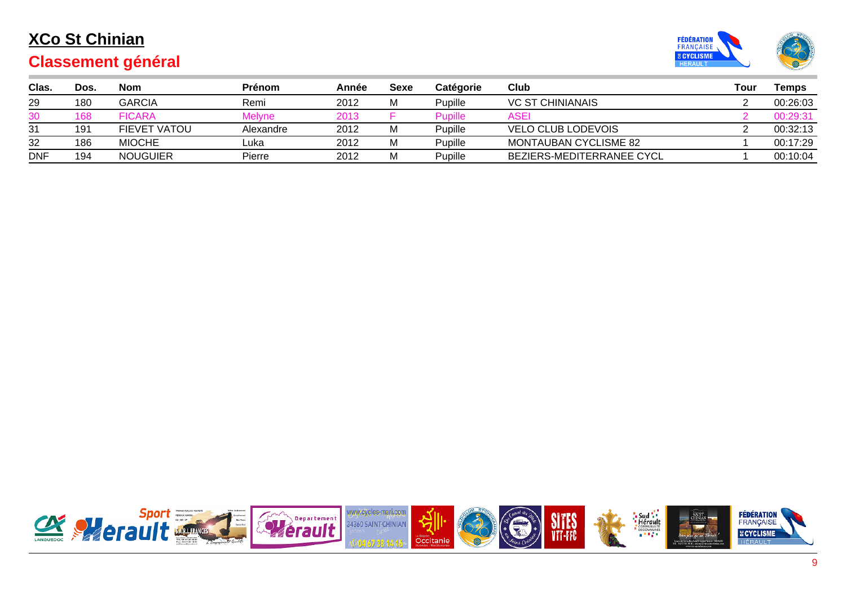

|  | <b>Classement général</b> |  |
|--|---------------------------|--|
|  |                           |  |

| Clas.      | Dos. | Nom             | <b>Prénom</b> | Année | Sexe | Catégorie | Club                             | Tour | Temps    |
|------------|------|-----------------|---------------|-------|------|-----------|----------------------------------|------|----------|
| 29         | 180  | GARCIA          | Remi          | 2012  | М    | Pupille   | <b>VC ST CHINIANAIS</b>          |      | 00:26:03 |
| 30         | 168  | <b>FICARA</b>   | Melvne        | 2013  |      | Pupille   | ASEI                             |      | 00:29:31 |
| 31         | 191  | FIEVET VATOU    | Alexandre     | 2012  | М    | Pupille   | <b>VELO CLUB LODEVOIS</b>        |      | 00:32:13 |
| 32         | 186  | <b>MIOCHE</b>   | Luka          | 2012  | М    | Pupille   | MONTAUBAN CYCLISME 82            |      | 00:17:29 |
| <b>DNF</b> | 194  | <b>NOUGUIER</b> | Pierre        | 2012  | М    | Pupille   | <b>BEZIERS-MEDITERRANEE CYCL</b> |      | 00:10:04 |

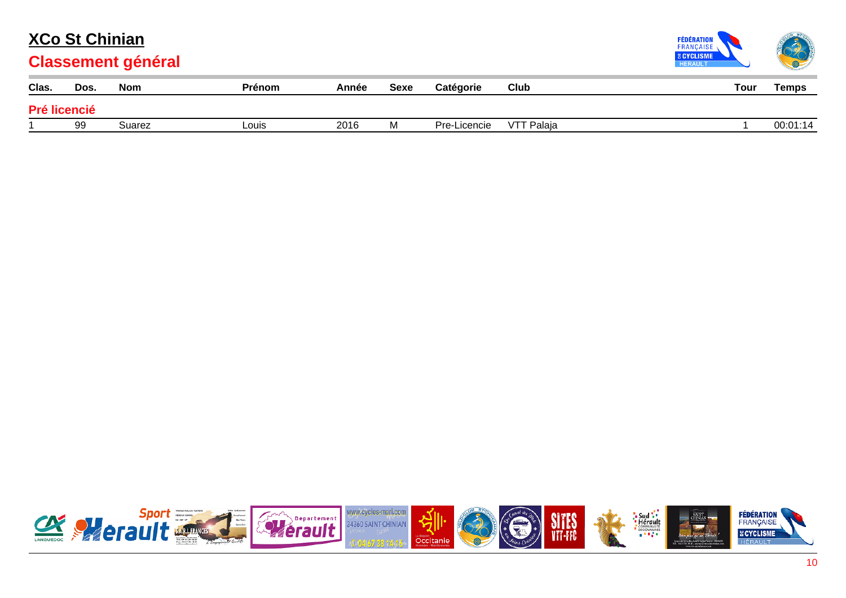

| Clas.        | Dos. | Nom    | <b>Prénom</b> | Année | Sexe | Catégorie    | Club              | Tour | <b>Temps</b> |
|--------------|------|--------|---------------|-------|------|--------------|-------------------|------|--------------|
| Pré licencié |      |        |               |       |      |              |                   |      |              |
|              | 99   | Suarez | Louis         | 2016  | M    | Pre-Licencie | <b>VTT Palaja</b> |      | 00:01:14     |